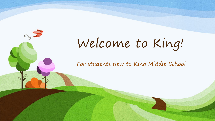

For students new to King Middle School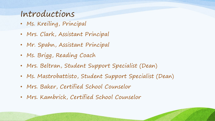## Introductions

- Ms. Kreiling, Principal
- Mrs. Clark, Assistant Principal
- Mr. Spahn, Assistant Principal
- Ms. Brigg, Reading Coach
- Mrs. Beltran, Student Support Specialist (Dean)
- Ms. Mastrobattisto, Student Support Specialist (Dean)
- Mrs. Baker, Certified School Counselor
- Mrs. Kambrick, Certified School Counselor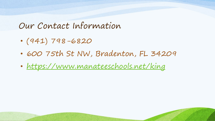### Our Contact Information

- (941) 798-6820
- 600 75th St NW, Bradenton, FL 34209
- <https://www.manateeschools.net/king>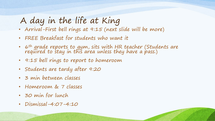# A day in the life at King

- Arrival-First bell rings at 9:15 (next slide will be more)
- FREE Breakfast for students who want it
- 6<sup>th</sup> grade reports to gym, sits with HR teacher (Students are<br>required to stay in this area unless they have a pass.)
- 9:15 bell rings to report to homeroom
- Students are tardy after 9:20
- 3 min between classes
- Homeroom & 7 classes
- 30 min for lunch
- Dismissal-4:07-4:10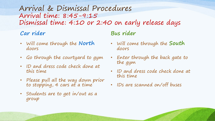#### Arrival & Dismissal Procedures Arrival time: 8:45-9:15 Dismissal time: 4:10 or 2:40 on early release days

#### **Car rider**

- Will come through the **North**  doors
- Go through the courtyard to gym
- ID and dress code check done at this time
- Please pull all the way down prior to stopping, 4 cars at a time
- Students are to get in/out as a group

#### **Bus rider**

- Will come through the **South** doors
- Enter through the back gate to the gym
- ID and dress code check done at this time
- IDs are scanned on/off buses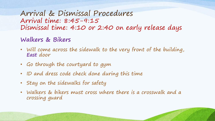Arrival & Dismissal Procedures Arrival time: 8:45-9:15 Dismissal time: 4:10 or 2:40 on early release days

#### **Walkers & Bikers**

- Will come across the sidewalk to the very front of the building, **East** door
- Go through the courtyard to gym
- ID and dress code check done during this time
- Stay on the sidewalks for safety
- Walkers & bikers must cross where there is a crosswalk and a crossing guard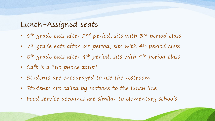#### Lunch-Assigned seats

- 6<sup>th</sup> grade eats after 2nd period, sits with 3rd period class
- 7<sup>th</sup> grade eats after 3<sup>rd</sup> period, sits with 4<sup>th</sup> period class
- 8<sup>th</sup> grade eats after 4<sup>th</sup> period, sits with 4<sup>th</sup> period class
- Café is a "no phone zone"
- Students are encouraged to use the restroom
- Students are called by sections to the lunch line
- Food service accounts are similar to elementary schools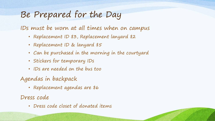# Be Prepared for the Day

IDs must be worn at all times when on campus

- Replacement ID \$3, Replacement lanyard \$2
- Replacement ID & lanyard \$5
- Can be purchased in the morning in the courtyard
- Stickers for temporary IDs
- IDs are needed on the bus too
- Agendas in backpack
	- Replacement agendas are \$6

Dress code

• Dress code closet of donated items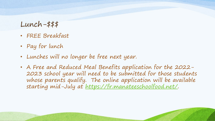#### Lunch-\$\$\$

- FREE Breakfast
- Pay for lunch
- Lunches will no longer be free next year.
- A Free and Reduced Meal Benefits application for the 2022- 2023 school year will need to be submitted for those students whose parents qualify. The online application will be available starting mid-July at <https://fr.manateeschoolfood.net/>.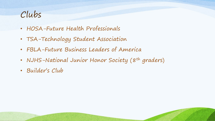## Clubs

- HOSA-Future Health Professionals
- TSA-Technology Student Association
- FBLA-Future Business Leaders of America
- NJHS-National Junior Honor Society (8<sup>th</sup> graders)
- Builder's Club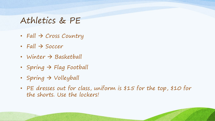### Athletics & PE

- Fall  $\rightarrow$  Cross Country
- Fall  $\rightarrow$  Soccer
- Winter  $\rightarrow$  Basketball
- Spring  $\rightarrow$  Flag Football
- Spring  $\rightarrow$  Volleyball
- PE dresses out for class, uniform is \$15 for the top, \$10 for the shorts. Use the lockers!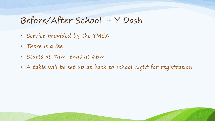## Before/After School – Y Dash

- Service provided by the YMCA
- There is a fee
- Starts at 7am, ends at 6pm
- A table will be set up at back to school night for registration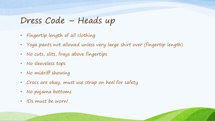## Dress Code – Heads up

- Fingertip length of all clothing
- Yoga pants not allowed unless very large shirt over (fingertip length)
- No cuts, slits, frays above fingertips
- No sleeveless tops
- No midriff showing
- Crocs are okay, must use strap on heel for safety
- No pajama bottoms
- IDs must be worn!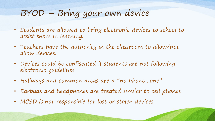# BYOD – Bring your own device

- Students are allowed to bring electronic devices to school to assist them in learning.
- Teachers have the authority in the classroom to allow/not allow devices.
- Devices could be confiscated if students are not following electronic guidelines.
- Hallways and common areas are a "no phone zone".
- Earbuds and headphones are treated similar to cell phones
- MCSD is not responsible for lost or stolen devices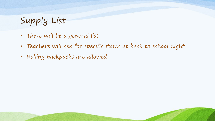Supply List

- There will be a general list
- Teachers will ask for specific items at back to school night
- Rolling backpacks are allowed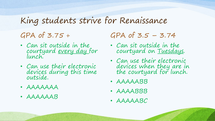# King students strive for Renaissance

### GPA of 3.75 +

- Can sit outside in the courtyard every day for lunch.
- Can use their electronic devices during this time outside.
- AAAAAAA
- AAAAAAB

 $GPA$  of  $3.5 - 3.74$ 

- Can sit outside in the courtyard on Tuesdays.
- Can use their electronic devices when they are in the courtyard for lunch.
- AAAAABB
- AAAABBB
- AAAAABC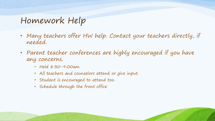## Homework Help

- Many teachers offer HW help. Contact your teachers directly, if needed.
- Parent teacher conferences are highly encouraged if you have any concerns.
	- Held 8:30-9:00am
	- All teachers and counselors attend or give input.
	- Student is encouraged to attend too.
	- Schedule through the front office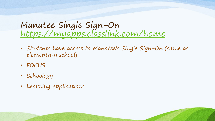## Manatee Single Sign-On <https://myapps.classlink.com/home>

- Students have access to Manatee's Single Sign-On (same as elementary school)
- FOCUS
- Schoology
- Learning applications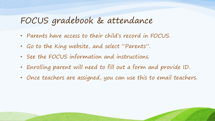## FOCUS gradebook & attendance

- Parents have access to their child's record in FOCUS.
- Go to the King website, and select "Parents".
- See the FOCUS information and instructions.
- Enrolling parent will need to fill out a form and provide ID.
- Once teachers are assigned, you can use this to email teachers.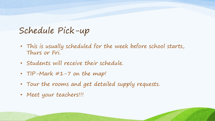# Schedule Pick-up

- This is usually scheduled for the week before school starts, Thurs or Fri.
- Students will receive their schedule.
- TIP-Mark #1-7 on the map!
- Tour the rooms and get detailed supply requests.
- Meet your teachers!!!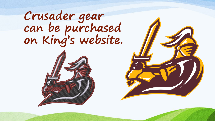